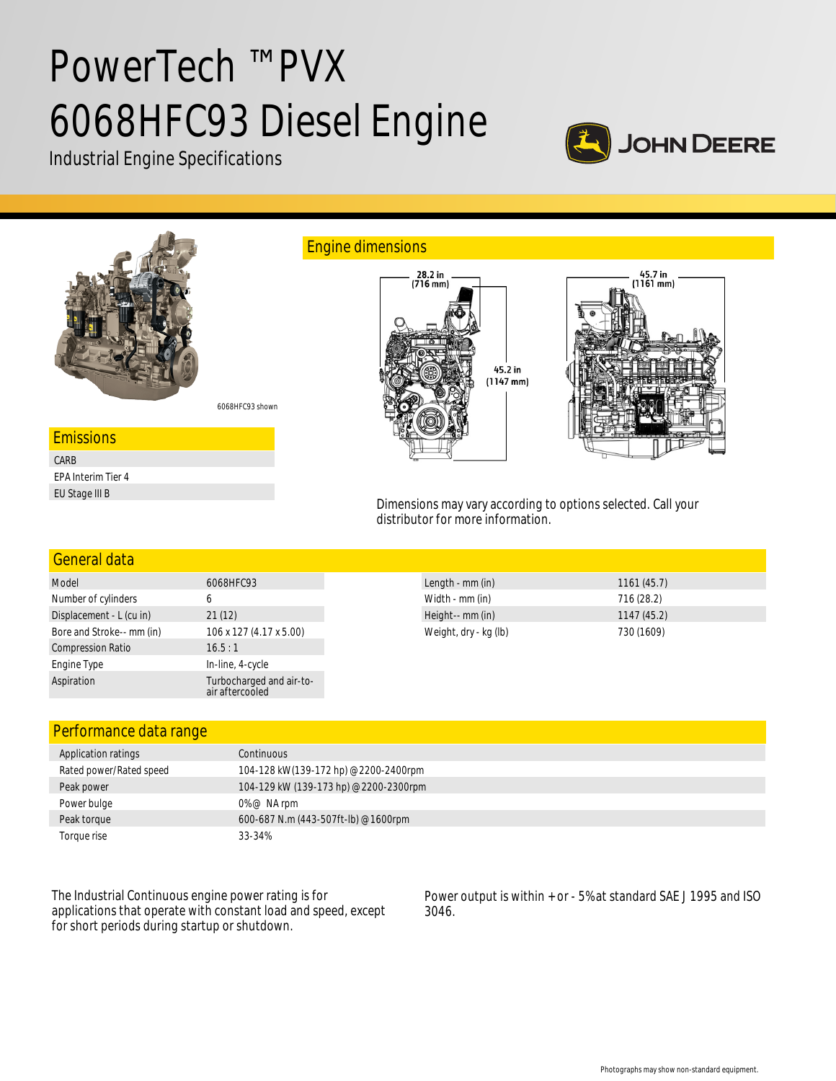# PowerTech ™ PVX 6068HFC93 Diesel Engine

Industrial Engine Specifications





| General data              |                                             |                       |            |
|---------------------------|---------------------------------------------|-----------------------|------------|
| Model                     | 6068HFC93                                   | Length - mm (in)      | 1161(45.7) |
| Number of cylinders       | b                                           | Width - mm (in)       | 716(28.2)  |
| Displacement - L (cu in)  | 21(12)                                      | Height-- mm (in)      | 1147(45.2) |
| Bore and Stroke-- mm (in) | 106 x 127 (4.17 x 5.00)                     | Weight, dry - kg (lb) | 730 (1609) |
| <b>Compression Ratio</b>  | 16.5:1                                      |                       |            |
| Engine Type               | In-line, 4-cycle                            |                       |            |
| Aspiration                | Turbocharged and air-to-<br>air aftercooled |                       |            |

## Performance data range

| Application ratings     | Continuous                            |
|-------------------------|---------------------------------------|
| Rated power/Rated speed | 104-128 kW(139-172 hp) @2200-2400rpm  |
| Peak power              | 104-129 kW (139-173 hp) @2200-2300rpm |
| Power bulge             | $0\%$ @ NA rpm                        |
| Peak torque             | 600-687 N.m (443-507ft-lb) @1600rpm   |
| Toraue rise             | 33-34%                                |

The Industrial Continuous engine power rating is for applications that operate with constant load and speed, except for short periods during startup or shutdown.

Power output is within + or - 5% at standard SAE J 1995 and ISO 3046.